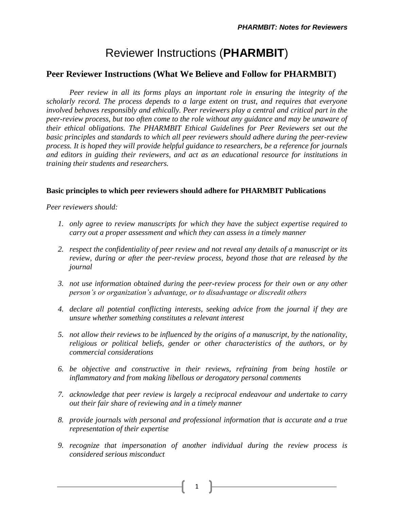# Reviewer Instructions (**PHARMBIT**)

## **Peer Reviewer Instructions (What We Believe and Follow for PHARMBIT)**

*Peer review in all its forms plays an important role in ensuring the integrity of the scholarly record. The process depends to a large extent on trust, and requires that everyone involved behaves responsibly and ethically. Peer reviewers play a central and critical part in the peer-review process, but too often come to the role without any guidance and may be unaware of their ethical obligations. The PHARMBIT Ethical Guidelines for Peer Reviewers set out the basic principles and standards to which all peer reviewers should adhere during the peer-review process. It is hoped they will provide helpful guidance to researchers, be a reference for journals and editors in guiding their reviewers, and act as an educational resource for institutions in training their students and researchers.*

#### **Basic principles to which peer reviewers should adhere for PHARMBIT Publications**

*Peer reviewers should:*

- *1. only agree to review manuscripts for which they have the subject expertise required to carry out a proper assessment and which they can assess in a timely manner*
- *2. respect the confidentiality of peer review and not reveal any details of a manuscript or its review, during or after the peer-review process, beyond those that are released by the journal*
- *3. not use information obtained during the peer-review process for their own or any other person's or organization's advantage, or to disadvantage or discredit others*
- *4. declare all potential conflicting interests, seeking advice from the journal if they are unsure whether something constitutes a relevant interest*
- *5. not allow their reviews to be influenced by the origins of a manuscript, by the nationality, religious or political beliefs, gender or other characteristics of the authors, or by commercial considerations*
- *6. be objective and constructive in their reviews, refraining from being hostile or inflammatory and from making libellous or derogatory personal comments*
- *7. acknowledge that peer review is largely a reciprocal endeavour and undertake to carry out their fair share of reviewing and in a timely manner*
- *8. provide journals with personal and professional information that is accurate and a true representation of their expertise*
- *9. recognize that impersonation of another individual during the review process is considered serious misconduct*

1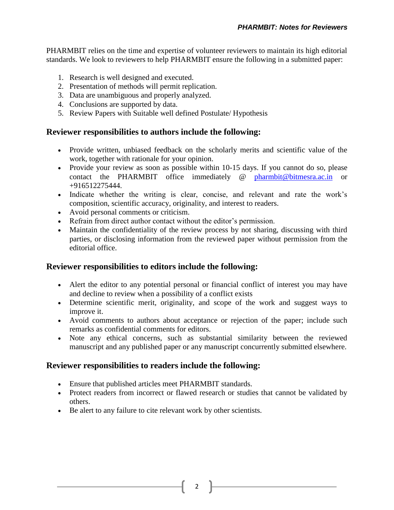PHARMBIT relies on the time and expertise of volunteer reviewers to maintain its high editorial standards. We look to reviewers to help PHARMBIT ensure the following in a submitted paper:

- 1. Research is well designed and executed.
- 2. Presentation of methods will permit replication.
- 3. Data are unambiguous and properly analyzed.
- 4. Conclusions are supported by data.
- 5. Review Papers with Suitable well defined Postulate/ Hypothesis

### **Reviewer responsibilities to authors include the following:**

- Provide written, unbiased feedback on the scholarly merits and scientific value of the work, together with rationale for your opinion.
- Provide your review as soon as possible within 10-15 days. If you cannot do so, please contact the PHARMBIT office immediately @ [pharmbit@bitmesra.ac.in](mailto:pharmbit@bitmesra.ac.in) or +916512275444.
- Indicate whether the writing is clear, concise, and relevant and rate the work's composition, scientific accuracy, originality, and interest to readers.
- Avoid personal comments or criticism.
- Refrain from direct author contact without the editor's permission.
- Maintain the confidentiality of the review process by not sharing, discussing with third parties, or disclosing information from the reviewed paper without permission from the editorial office.

### **Reviewer responsibilities to editors include the following:**

- Alert the editor to any potential personal or financial conflict of interest you may have and decline to review when a possibility of a conflict exists
- Determine scientific merit, originality, and scope of the work and suggest ways to improve it.
- Avoid comments to authors about acceptance or rejection of the paper; include such remarks as confidential comments for editors.
- Note any ethical concerns, such as substantial similarity between the reviewed manuscript and any published paper or any manuscript concurrently submitted elsewhere.

### **Reviewer responsibilities to readers include the following:**

- Ensure that published articles meet PHARMBIT standards.
- Protect readers from incorrect or flawed research or studies that cannot be validated by others.
- Be alert to any failure to cite relevant work by other scientists.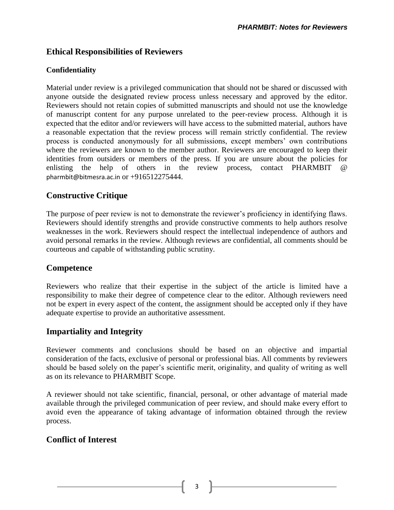## **Ethical Responsibilities of Reviewers**

## **Confidentiality**

Material under review is a privileged communication that should not be shared or discussed with anyone outside the designated review process unless necessary and approved by the editor. Reviewers should not retain copies of submitted manuscripts and should not use the knowledge of manuscript content for any purpose unrelated to the peer-review process. Although it is expected that the editor and/or reviewers will have access to the submitted material, authors have a reasonable expectation that the review process will remain strictly confidential. The review process is conducted anonymously for all submissions, except members' own contributions where the reviewers are known to the member author. Reviewers are encouraged to keep their identities from outsiders or members of the press. If you are unsure about the policies for enlisting the help of others in the review process, contact PHARMBIT @ [pharmbit@bitmesra.ac.in](mailto:pharmbit@bitmesra.ac.in) or +916512275444.

# **Constructive Critique**

The purpose of peer review is not to demonstrate the reviewer's proficiency in identifying flaws. Reviewers should identify strengths and provide constructive comments to help authors resolve weaknesses in the work. Reviewers should respect the intellectual independence of authors and avoid personal remarks in the review. Although reviews are confidential, all comments should be courteous and capable of withstanding public scrutiny.

## **Competence**

Reviewers who realize that their expertise in the subject of the article is limited have a responsibility to make their degree of competence clear to the editor. Although reviewers need not be expert in every aspect of the content, the assignment should be accepted only if they have adequate expertise to provide an authoritative assessment.

# **Impartiality and Integrity**

Reviewer comments and conclusions should be based on an objective and impartial consideration of the facts, exclusive of personal or professional bias. All comments by reviewers should be based solely on the paper's scientific merit, originality, and quality of writing as well as on its relevance to PHARMBIT Scope.

A reviewer should not take scientific, financial, personal, or other advantage of material made available through the privileged communication of peer review, and should make every effort to avoid even the appearance of taking advantage of information obtained through the review process.

# **Conflict of Interest**

3